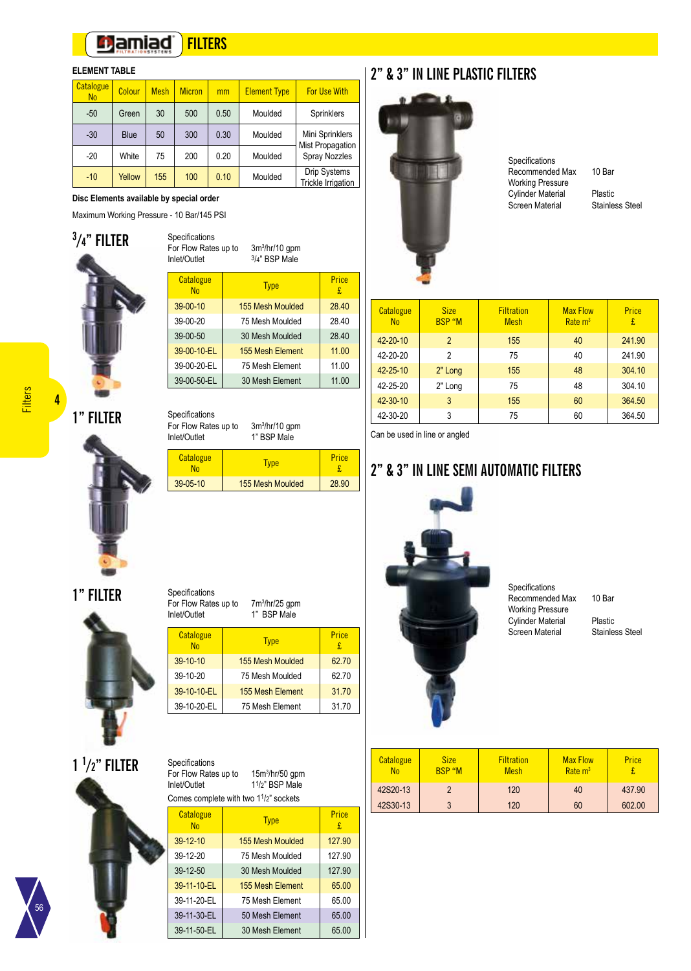#### **Damiad FILTERS**

### **ELEMENT TABLE**

| Catalogue<br>N <sub>o</sub> | Colour      | <b>Mesh</b> | <b>Micron</b> | mm   | <b>Element Type</b> | <b>For Use With</b>                       |
|-----------------------------|-------------|-------------|---------------|------|---------------------|-------------------------------------------|
| $-50$                       | Green       | 30          | 500           | 0.50 | Moulded             | Sprinklers                                |
| $-30$                       | <b>Blue</b> | 50          | 300           | 0.30 | Moulded             | Mini Sprinklers<br>Mist Propagation       |
| $-20$                       | White       | 75          | 200           | 0.20 | Moulded             | <b>Spray Nozzles</b>                      |
| $-10$                       | Yellow      | 155         | 100           | 0.10 | Moulded             | Drip Systems<br><b>Trickle Irrigation</b> |

**Disc Elements available by special order**

Maximum Working Pressure - 10 Bar/145 PSI



| For Flow Rates up to<br>Inlet/Outlet | $3m^3/hr/10$ gpm<br>3/4" BSP Male |            |
|--------------------------------------|-----------------------------------|------------|
| Catalogue<br>No                      | <b>Type</b>                       | Price<br>£ |
| 39-00-10                             | 155 Mesh Moulded                  | 28.40      |
| 39-00-20                             | 75 Mesh Moulded                   | 28.40      |
| 39-00-50                             | 30 Mesh Moulded                   | 28.40      |
| 39-00-10-EL                          | 155 Mesh Element                  | 11.00      |
| 39-00-20-EL                          | 75 Mesh Flement                   | 11.00      |
| 39-00-50-EL                          | 30 Mesh Element                   | 11.00      |

**1" FILTER**



| Inlet/Outlet           | $3m^3/hr/10$ gpm<br>For Flow Rates up to<br>1" BSP Male |            |
|------------------------|---------------------------------------------------------|------------|
| Catalogue<br><b>No</b> | <b>Type</b>                                             | Price<br>£ |
| 39-05-10               | 155 Mesh Moulded                                        | 28.90      |
|                        |                                                         |            |
|                        |                                                         |            |

£ 28.40

28.40

 $11.00$ 

**1" FILTER**



| For Flow Rates up to<br>Inlet/Outlet | 7m <sup>3</sup> /hr/25 gpm<br>1" BSP Male |            |
|--------------------------------------|-------------------------------------------|------------|
| Catalogue<br><b>No</b>               | <b>Type</b>                               | Price<br>£ |
| 39-10-10                             | 155 Mesh Moulded                          | 62.70      |
| 39-10-20                             | 75 Mesh Moulded                           | 62.70      |
| 39-10-10-EL                          | 155 Mesh Element                          | 31.70      |
| 39-10-20-EL                          | 75 Mesh Element                           | 31.70      |

Specifications

# **1 1 /2" FILTER**



56

| Specifications<br>For Flow Rates up to<br>$15m^3/hr/50$ gpm<br>1 <sup>1</sup> /2" BSP Male<br>Inlet/Outlet |                                                                 |             |  |  |
|------------------------------------------------------------------------------------------------------------|-----------------------------------------------------------------|-------------|--|--|
|                                                                                                            | Comes complete with two 1 <sup>1</sup> / <sub>2</sub> " sockets |             |  |  |
| Catalogue<br><b>No</b>                                                                                     | <b>Type</b>                                                     | Price<br>£. |  |  |
| 39-12-10                                                                                                   | 155 Mesh Moulded                                                | 127.90      |  |  |
| $39 - 12 - 20$                                                                                             | 75 Mesh Moulded                                                 | 127 90      |  |  |
| 39-12-50                                                                                                   | 30 Mesh Moulded                                                 | 127.90      |  |  |
| 39-11-10-EL                                                                                                | 155 Mesh Element                                                | 65.00       |  |  |
| 39-11-20-EL                                                                                                | 75 Mesh Flement                                                 | 65.00       |  |  |
| 39-11-30-EL                                                                                                | 50 Mesh Element                                                 | 65.00       |  |  |
| 39-11-50-EL<br>65.00<br>30 Mesh Element                                                                    |                                                                 |             |  |  |
|                                                                                                            |                                                                 |             |  |  |

## **2" & 3" IN LINE PLASTIC FILTERS**



Specifications Recommended Max 10 Bar Working Pressure Screen Material

Cylinder Material Plastic<br>Screen Material Stainless Steel

| Catalogue<br>N <sub>0</sub> | <b>Size</b><br><b>BSP "M</b> | <b>Filtration</b><br><b>Mesh</b> | <b>Max Flow</b><br>Rate $m3$ | Price<br>£ |
|-----------------------------|------------------------------|----------------------------------|------------------------------|------------|
| 42-20-10                    | $\overline{2}$               | 155                              | 40                           | 241.90     |
| 42-20-20                    | 2                            | 75                               | 40                           | 241.90     |
| $42 - 25 - 10$              | 2" Long                      | 155                              | 48                           | 304.10     |
| 42-25-20                    | 2" Long                      | 75                               | 48                           | 304.10     |
| 42-30-10                    | 3                            | 155                              | 60                           | 364.50     |
| 42-30-20                    | 3                            | 75                               | 60                           | 364.50     |

Can be used in line or angled

# **2" & 3" IN LINE SEMI AUTOMATIC FILTERS**



Recommended Max 10 Bar

Cylinder Material Plastic<br>Screen Material Stainless Steel

**Catalogue** No **Size** BSP "M **Filtration** Mesh **Max Flow** Rate m<sup>3</sup> Price £ 42S20-13 | 2 | 120 | 40 | 437.90 42S30-13 3 120 60 602.00

Specifications

Working Pressure

Screen Material

**4**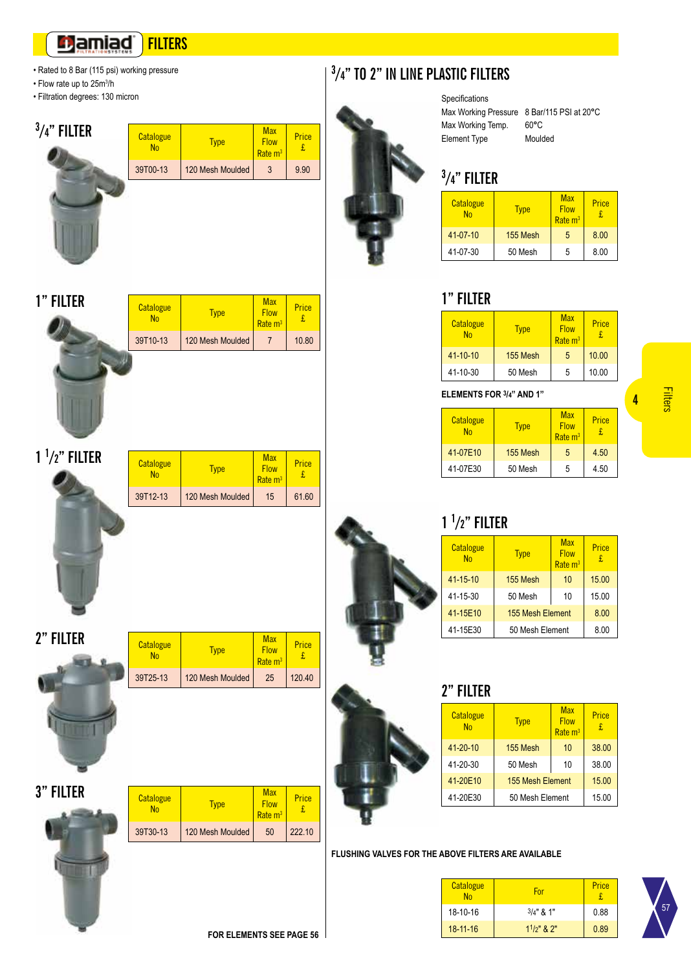#### **Damiad FILTERS**

- Rated to 8 Bar (115 psi) working pressure
- Flow rate up to 25m<sup>3</sup>/h
- Filtration degrees: 130 micron



**1 1 /2" FILTER**

**2" FILTER**

**1" FILTER**

| Catalogue<br>No | <b>Type</b>      | <b>Max</b><br><b>Flow</b><br>Rate <sub>m<sup>3</sup></sub> | Price |
|-----------------|------------------|------------------------------------------------------------|-------|
| 39T00-13        | 120 Mesh Moulded |                                                            | 9.90  |
|                 |                  |                                                            |       |

**Type** 

**Type** 

39T12-13 120 Mesh Moulded 15 61.60

39T10-13 120 Mesh Moulded 7 10.80

**Max Flow** Rate m<sup>3</sup>

Max **Flow** Rate m<sup>3</sup>

> **Max Flow**

Price £

Catalogue<br>No

Catalogue<br>No

**Catalogue** 



Price £

Price £

Price £

**3 /4" TO 2" IN LINE PLASTIC FILTERS**



# **3 /4" FILTER**

Specifications

| Catalogue<br>No | Type     | <b>Max</b><br><b>Flow</b><br>Rate <sub>m<sup>3</sup></sub> | Price<br>£. |
|-----------------|----------|------------------------------------------------------------|-------------|
| 41-07-10        | 155 Mesh | 5                                                          | 8.00        |
| 41-07-30        | 50 Mesh  | 5                                                          | 8.00        |

## **1" FILTER**

| Catalogue<br>No | Type     | <b>Max</b><br><b>Flow</b><br>Rate <sub>m<sup>3</sup></sub> | Price<br>£. |
|-----------------|----------|------------------------------------------------------------|-------------|
| 41-10-10        | 155 Mesh | 5                                                          | 10.00       |
| 41-10-30        | 50 Mesh  | 5                                                          | 10.00       |

## **ELEMENTS FOR 3/4" AND 1"**

| Catalogue<br><b>No</b> | Type     | <b>Max</b><br><b>Flow</b><br>Rate <sub>m<sup>3</sup></sub> | Price<br>£ |
|------------------------|----------|------------------------------------------------------------|------------|
| 41-07E10               | 155 Mesh | 5                                                          | 4.50       |
| 41-07E30               | 50 Mesh  | 5                                                          | 4.50       |

**4**

# **1 1 /2" FILTER**

| Catalogue<br><b>No</b> | <b>Type</b>      | <b>Max</b><br><b>Flow</b><br>Rate $m3$ | Price<br>£ |
|------------------------|------------------|----------------------------------------|------------|
| $41 - 15 - 10$         | 155 Mesh         | 10                                     | 15.00      |
| 41-15-30               | 50 Mesh          | 10                                     | 15.00      |
| 41-15E10               | 155 Mesh Element |                                        | 8.00       |
| 41-15E30               | 50 Mesh Element  |                                        | 8.00       |

**2" FILTER**

| Catalogue<br><b>No</b> | <b>Type</b>      | <b>Max</b><br><b>Flow</b><br>$Rate \ m^3$ | Price<br>£ |
|------------------------|------------------|-------------------------------------------|------------|
| 41-20-10               | 155 Mesh         | 10                                        | 38.00      |
| 41-20-30               | 50 Mesh          | 10                                        | 38.00      |
| 41-20E10               | 155 Mesh Element |                                           | 15.00      |
| 41-20E30               | 50 Mesh Element  |                                           | 15.00      |

## **FLUSHING VALVES FOR THE ABOVE FILTERS ARE AVAILABLE**

| Catalogue<br>No | For              | Price |
|-----------------|------------------|-------|
| 18-10-16        | $3/4$ " & 1"     | 0.88  |
| $18 - 11 - 16$  | $11/p$ " & $2$ " | 0.89  |



| <u><i><b>Glaidgue</b></i></u><br>N <sub>0</sub> | <b>Type</b>      | <b>Flow</b><br>Rate <sub>m<sup>3</sup></sub>               | <b>LIICE</b><br>£ |
|-------------------------------------------------|------------------|------------------------------------------------------------|-------------------|
| 39T25-13                                        | 120 Mesh Moulded | 25                                                         | 120.40            |
|                                                 |                  |                                                            |                   |
|                                                 |                  |                                                            |                   |
|                                                 |                  |                                                            |                   |
|                                                 |                  |                                                            |                   |
|                                                 |                  |                                                            |                   |
| Catalogue<br>N <sub>0</sub>                     | <b>Type</b>      | <b>Max</b><br><b>Flow</b><br>Rate <sub>m<sup>3</sup></sub> | Price<br>£        |

| <b>3" FILTER</b> | Catalogue<br>N <sub>0</sub> | <b>Type</b> |
|------------------|-----------------------------|-------------|
|                  | 39T30-13                    | 120 Mesh M  |
|                  |                             |             |

| 39T30-13    120 Mesh Moulded    50    222.10 |  |  |
|----------------------------------------------|--|--|
|                                              |  |  |
|                                              |  |  |
|                                              |  |  |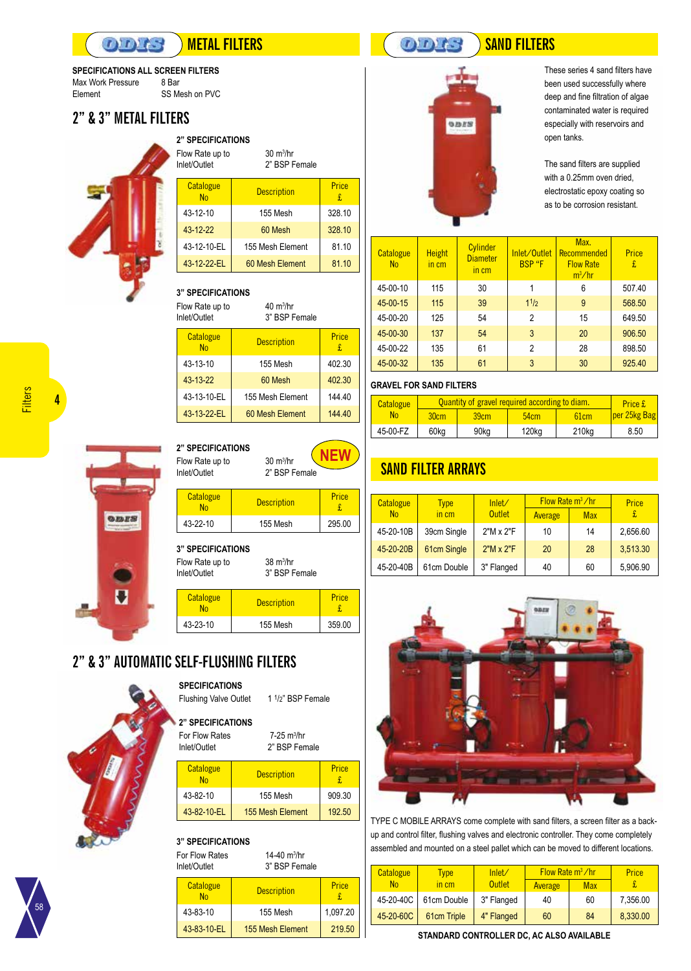SS Mesh on PVC

#### 8 Bar **SPECIFICATIONS ALL SCREEN FILTERS**

 $D D t$ 

Max Work Pressure Element

## **2" & 3" METAL FILTERS**



| <b>2" SPECIFICATIONS</b><br>Flow Rate up to<br>Inlet/Outlet |                    |            |
|-------------------------------------------------------------|--------------------|------------|
| Catalogue<br><b>No</b>                                      | <b>Description</b> | Price<br>£ |
| 43-12-10                                                    | 155 Mesh           | 328.10     |
| 43-12-22                                                    | 60 Mesh            | 328.10     |
| 43-12-10-EL                                                 | 155 Mesh Element   | 81.10      |
| 43-12-22-EL                                                 | 60 Mesh Element    | 81.10      |

#### Flow Rate up to **3" SPECIFICATIONS**

Inlet/Outlet

 $40 \text{ m}^3\text{/hr}$ 3" BSP Female

| Catalogue<br><b>No</b> | <b>Description</b> | Price<br>£ |
|------------------------|--------------------|------------|
| 43-13-10               | 155 Mesh           | 402.30     |
| 43-13-22               | 60 Mesh            | 402.30     |
| 43-13-10-EL            | 155 Mesh Element   | 144.40     |
| 43-13-22-EL            | 60 Mesh Element    | 144.40     |



 $30 \text{ m}^3/\text{hr}$ 2" BSP Female **NEW**

| <b>Catalogue</b><br>N <sub>Ω</sub> | <b>Description</b> | Price  |
|------------------------------------|--------------------|--------|
| 43-22-10                           | 155 Mesh           | 295.00 |
|                                    |                    |        |

**3" SPECIFICATIONS** 

Flow Rate up to Inlet/Outlet

| Catalogue<br>N <sub>Ω</sub> | <b>Description</b> | Price  |
|-----------------------------|--------------------|--------|
| 43-23-10                    | 155 Mesh           | 359.00 |
|                             |                    |        |

 $38 \text{ m}^3/\text{hr}$ 3" BSP Female

 7-25 m<sup>3</sup> /hr 2" BSP Female

talogue Description Price

43-82-10 | 155 Mesh | 909.30 43-82-10-EL 155 Mesh Element 192.50

1 1/2" BSP Female

£

## **2" & 3" AUTOMATIC SELF-FLUSHING FILTERS**

For Flow Rates Inlet/Outlet

**Catalogue** 

Flushing Valve Outlet

**SPECIFICATIONS** 

**2" SPECIFICATIONS** 

| nlet/Outlet     |                    |             |
|-----------------|--------------------|-------------|
| Catalogue<br>No | <b>Description</b> | Price<br>£. |
| 43-83-10        | 155 Mesh           | 1,097.20    |
| 43-83-10-EL     | 155 Mesh Element   | 219.50      |

# **METAL FILTERS SAND FILTERS**



These series 4 sand filters have been used successfully where deep and fine filtration of algae contaminated water is required especially with reservoirs and open tanks.

The sand filters are supplied with a 0.25mm oven dried, electrostatic epoxy coating so as to be corrosion resistant.

| Catalogue<br>N <sub>0</sub> | <b>Height</b><br>in cm | Cylinder<br><b>Diameter</b><br>in cm | Inlet/Outlet<br><b>BSP</b> "F | Max.<br>Recommended<br><b>Flow Rate</b><br>$m^3/hr$ | Price<br>£ |
|-----------------------------|------------------------|--------------------------------------|-------------------------------|-----------------------------------------------------|------------|
| 45-00-10                    | 115                    | 30                                   | 1                             | 6                                                   | 507.40     |
| 45-00-15                    | 115                    | 39                                   | 11/2                          | 9                                                   | 568.50     |
| 45-00-20                    | 125                    | 54                                   | $\overline{2}$                | 15                                                  | 649.50     |
| 45-00-30                    | 137                    | 54                                   | 3                             | 20                                                  | 906.50     |
| 45-00-22                    | 135                    | 61                                   | 2                             | 28                                                  | 898.50     |
| 45-00-32                    | 135                    | 61                                   | 3                             | 30                                                  | 925.40     |

#### **GRAVEL FOR SAND FILTERS**

| <b>Catalogue</b> | Quantity of gravel required according to diam. |      |       |                   | Price £          |
|------------------|------------------------------------------------|------|-------|-------------------|------------------|
| Nο               | 30cm                                           | 39cm | 54cm  | 61cm              | $ per 25kg $ Bag |
| 45-00-FZ         | 60kg                                           | 90kg | 120kg | 210 <sub>kg</sub> | 8.50             |

## **SAND FILTER ARRAYS**

| <b>Catalogue</b> | Type        | lnlet/           | Flow Rate $m^3$ /hr |            | Price    |
|------------------|-------------|------------------|---------------------|------------|----------|
| N <sub>0</sub>   | in cm       | <b>Outlet</b>    | Average             | <b>Max</b> | £        |
| 45-20-10B        | 39cm Single | 2"M x 2"F        | 10                  | 14         | 2,656.60 |
| 45-20-20B        | 61cm Single | $2"M \times 2"F$ | 20                  | 28         | 3,513.30 |
| 45-20-40B        | 61cm Double | 3" Flanged       | 40                  | 60         | 5,906.90 |



TYPE C MOBILE ARRAYS come complete with sand filters, a screen filter as a backup and control filter, flushing valves and electronic controller. They come completely assembled and mounted on a steel pallet which can be moved to different locations.

| <b>Catalogue</b> | <b>Type</b>              | lnlet/     | Flow Rate $m^3$ /hr |            | Price    |
|------------------|--------------------------|------------|---------------------|------------|----------|
| N <sub>0</sub>   | $\overline{\text{m}}$ cm | Outlet     | Average             | <b>Max</b> |          |
| 45-20-40C        | 61cm Double              | 3" Flanged | 40                  | 60         | 7,356.00 |
| 45-20-60C        | 61cm Triple              | 4" Flanged | 60                  | 84         | 8,330.00 |

**STANDARD CONTROLLER DC, AC ALSO AVAILABLE**

**4**



58

Inlet/Outlet

| <b>3" SPECIFICATIONS</b><br>14-40 $m^3$ /hr<br>For Flow Rates<br>3" BSP Female<br>Inlet/Outlet |                        |                                    |            |
|------------------------------------------------------------------------------------------------|------------------------|------------------------------------|------------|
|                                                                                                | Catalogue<br><b>No</b> | <b>Description</b>                 | Price<br>£ |
|                                                                                                | 43-83-10               | 155 Mesh                           | 1.097.     |
|                                                                                                | 02.40E                 | $A \cap F$ March $\Gamma$ landroid |            |